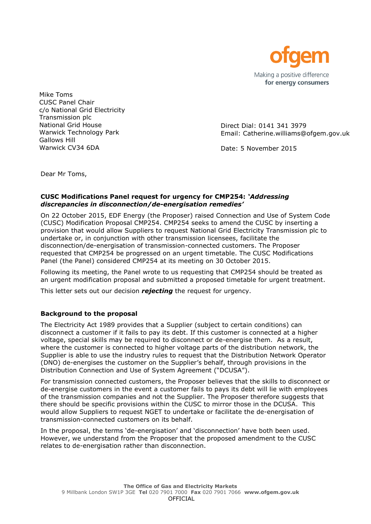

Mike Toms CUSC Panel Chair c/o National Grid Electricity Transmission plc National Grid House Warwick Technology Park Gallows Hill Warwick CV34 6DA

Direct Dial: 0141 341 3979 Email: Catherine.williams@ofgem.gov.uk

Date: 5 November 2015

Dear Mr Toms,

### **CUSC Modifications Panel request for urgency for CMP254:** *'Addressing discrepancies in disconnection/de-energisation remedies'*

On 22 October 2015, EDF Energy (the Proposer) raised Connection and Use of System Code (CUSC) Modification Proposal CMP254. CMP254 seeks to amend the CUSC by inserting a provision that would allow Suppliers to request National Grid Electricity Transmission plc to undertake or, in conjunction with other transmission licensees, facilitate the disconnection/de-energisation of transmission-connected customers. The Proposer requested that CMP254 be progressed on an urgent timetable. The CUSC Modifications Panel (the Panel) considered CMP254 at its meeting on 30 October 2015.

Following its meeting, the Panel wrote to us requesting that CMP254 should be treated as an urgent modification proposal and submitted a proposed timetable for urgent treatment.

This letter sets out our decision *rejecting* the request for urgency.

# **Background to the proposal**

The Electricity Act 1989 provides that a Supplier (subject to certain conditions) can disconnect a customer if it fails to pay its debt. If this customer is connected at a higher voltage, special skills may be required to disconnect or de-energise them. As a result, where the customer is connected to higher voltage parts of the distribution network, the Supplier is able to use the industry rules to request that the Distribution Network Operator (DNO) de-energises the customer on the Supplier's behalf, through provisions in the Distribution Connection and Use of System Agreement ("DCUSA").

For transmission connected customers, the Proposer believes that the skills to disconnect or de-energise customers in the event a customer fails to pays its debt will lie with employees of the transmission companies and not the Supplier. The Proposer therefore suggests that there should be specific provisions within the CUSC to mirror those in the DCUSA. This would allow Suppliers to request NGET to undertake or facilitate the de-energisation of transmission-connected customers on its behalf.

In the proposal, the terms 'de-energisation' and 'disconnection' have both been used. However, we understand from the Proposer that the proposed amendment to the CUSC relates to de-energisation rather than disconnection.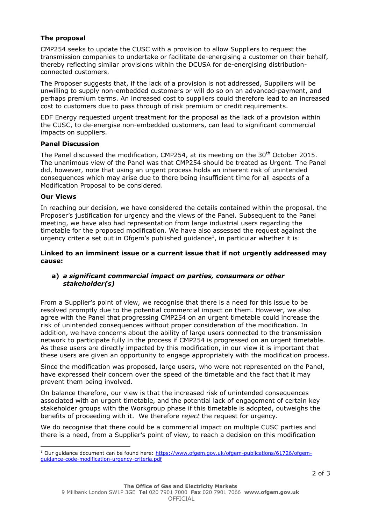## **The proposal**

CMP254 seeks to update the CUSC with a provision to allow Suppliers to request the transmission companies to undertake or facilitate de-energising a customer on their behalf, thereby reflecting similar provisions within the DCUSA for de-energising distributionconnected customers.

The Proposer suggests that, if the lack of a provision is not addressed, Suppliers will be unwilling to supply non-embedded customers or will do so on an advanced-payment, and perhaps premium terms. An increased cost to suppliers could therefore lead to an increased cost to customers due to pass through of risk premium or credit requirements.

EDF Energy requested urgent treatment for the proposal as the lack of a provision within the CUSC, to de-energise non-embedded customers, can lead to significant commercial impacts on suppliers.

### **Panel Discussion**

The Panel discussed the modification, CMP254, at its meeting on the 30<sup>th</sup> October 2015. The unanimous view of the Panel was that CMP254 should be treated as Urgent. The Panel did, however, note that using an urgent process holds an inherent risk of unintended consequences which may arise due to there being insufficient time for all aspects of a Modification Proposal to be considered.

#### **Our Views**

l

In reaching our decision, we have considered the details contained within the proposal, the Proposer's justification for urgency and the views of the Panel. Subsequent to the Panel meeting, we have also had representation from large industrial users regarding the timetable for the proposed modification. We have also assessed the request against the urgency criteria set out in Ofgem's published guidance<sup>1</sup>, in particular whether it is:

### **Linked to an imminent issue or a current issue that if not urgently addressed may cause:**

### **a)** *a significant commercial impact on parties, consumers or other stakeholder(s)*

From a Supplier's point of view, we recognise that there is a need for this issue to be resolved promptly due to the potential commercial impact on them. However, we also agree with the Panel that progressing CMP254 on an urgent timetable could increase the risk of unintended consequences without proper consideration of the modification. In addition, we have concerns about the ability of large users connected to the transmission network to participate fully in the process if CMP254 is progressed on an urgent timetable. As these users are directly impacted by this modification, in our view it is important that these users are given an opportunity to engage appropriately with the modification process.

Since the modification was proposed, large users, who were not represented on the Panel, have expressed their concern over the speed of the timetable and the fact that it may prevent them being involved.

On balance therefore, our view is that the increased risk of unintended consequences associated with an urgent timetable, and the potential lack of engagement of certain key stakeholder groups with the Workgroup phase if this timetable is adopted, outweighs the benefits of proceeding with it. We therefore *reject* the request for urgency.

We do recognise that there could be a commercial impact on multiple CUSC parties and there is a need, from a Supplier's point of view, to reach a decision on this modification

<sup>&</sup>lt;sup>1</sup> Our guidance document can be found here: [https://www.ofgem.gov.uk/ofgem-publications/61726/ofgem](https://www.ofgem.gov.uk/ofgem-publications/61726/ofgem-guidance-code-modification-urgency-criteria.pdf)[guidance-code-modification-urgency-criteria.pdf](https://www.ofgem.gov.uk/ofgem-publications/61726/ofgem-guidance-code-modification-urgency-criteria.pdf)